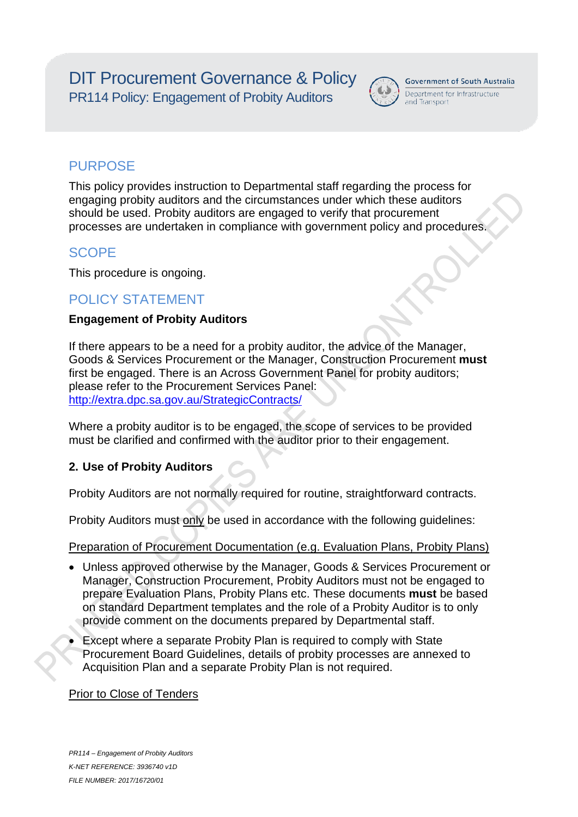DIT Procurement Governance & Policy PR114 Policy: Engagement of Probity Auditors



## **Government of South Australia**

Department for Infrastructure and Transport

## **PURPOSE**

This policy provides instruction to Departmental staff regarding the process for engaging probity auditors and the circumstances under which these auditors should be used. Probity auditors are engaged to verify that procurement processes are undertaken in compliance with government policy and procedures.

## **SCOPE**

This procedure is ongoing.

## POLICY STATEMENT

### **Engagement of Probity Auditors**

If there appears to be a need for a probity auditor, the advice of the Manager, Goods & Services Procurement or the Manager, Construction Procurement **must** first be engaged. There is an Across Government Panel for probity auditors; please refer to the Procurement Services Panel: http://extra.dpc.sa.gov.au/StrategicContracts/

Where a probity auditor is to be engaged, the scope of services to be provided must be clarified and confirmed with the auditor prior to their engagement.

## **2. Use of Probity Auditors**

Probity Auditors are not normally required for routine, straightforward contracts.

Probity Auditors must only be used in accordance with the following guidelines:

Preparation of Procurement Documentation (e.g. Evaluation Plans, Probity Plans)

- Unless approved otherwise by the Manager, Goods & Services Procurement or Manager, Construction Procurement, Probity Auditors must not be engaged to prepare Evaluation Plans, Probity Plans etc. These documents **must** be based on standard Department templates and the role of a Probity Auditor is to only provide comment on the documents prepared by Departmental staff.
- Except where a separate Probity Plan is required to comply with State Procurement Board Guidelines, details of probity processes are annexed to Acquisition Plan and a separate Probity Plan is not required.

## Prior to Close of Tenders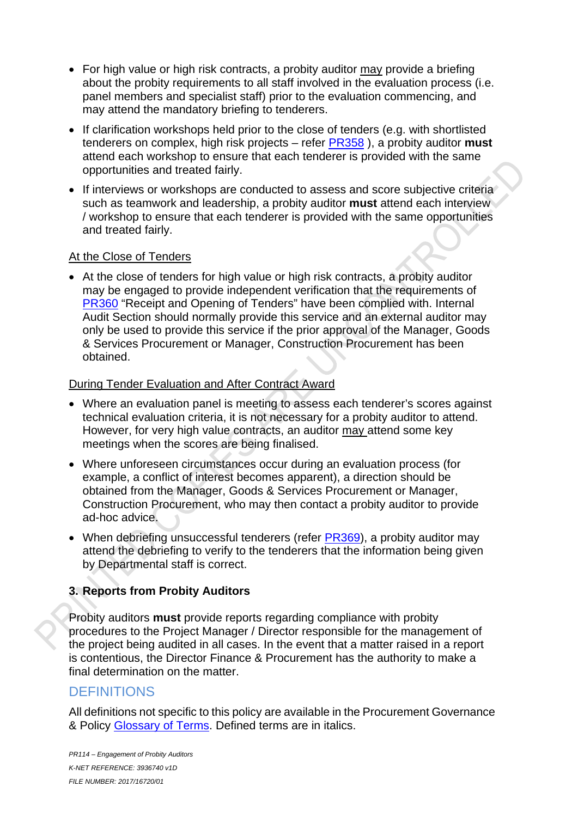- For high value or high risk contracts, a probity auditor may provide a briefing about the probity requirements to all staff involved in the evaluation process (i.e. panel members and specialist staff) prior to the evaluation commencing, and may attend the mandatory briefing to tenderers.
- If clarification workshops held prior to the close of tenders (e.g. with shortlisted tenderers on complex, high risk projects – refer PR358 ), a probity auditor **must** attend each workshop to ensure that each tenderer is provided with the same opportunities and treated fairly.
- If interviews or workshops are conducted to assess and score subjective criteria such as teamwork and leadership, a probity auditor **must** attend each interview / workshop to ensure that each tenderer is provided with the same opportunities and treated fairly.

#### At the Close of Tenders

• At the close of tenders for high value or high risk contracts, a probity auditor may be engaged to provide independent verification that the requirements of PR360 "Receipt and Opening of Tenders" have been complied with. Internal Audit Section should normally provide this service and an external auditor may only be used to provide this service if the prior approval of the Manager, Goods & Services Procurement or Manager, Construction Procurement has been obtained.

#### During Tender Evaluation and After Contract Award

- Where an evaluation panel is meeting to assess each tenderer's scores against technical evaluation criteria, it is not necessary for a probity auditor to attend. However, for very high value contracts, an auditor may attend some key meetings when the scores are being finalised.
- Where unforeseen circumstances occur during an evaluation process (for example, a conflict of interest becomes apparent), a direction should be obtained from the Manager, Goods & Services Procurement or Manager, Construction Procurement, who may then contact a probity auditor to provide ad-hoc advice.
- When debriefing unsuccessful tenderers (refer PR369), a probity auditor may attend the debriefing to verify to the tenderers that the information being given by Departmental staff is correct.

#### **3. Reports from Probity Auditors**

Probity auditors **must** provide reports regarding compliance with probity procedures to the Project Manager / Director responsible for the management of the project being audited in all cases. In the event that a matter raised in a report is contentious, the Director Finance & Procurement has the authority to make a final determination on the matter.

## **DEFINITIONS**

All definitions not specific to this policy are available in the Procurement Governance & Policy Glossary of Terms. Defined terms are in italics.